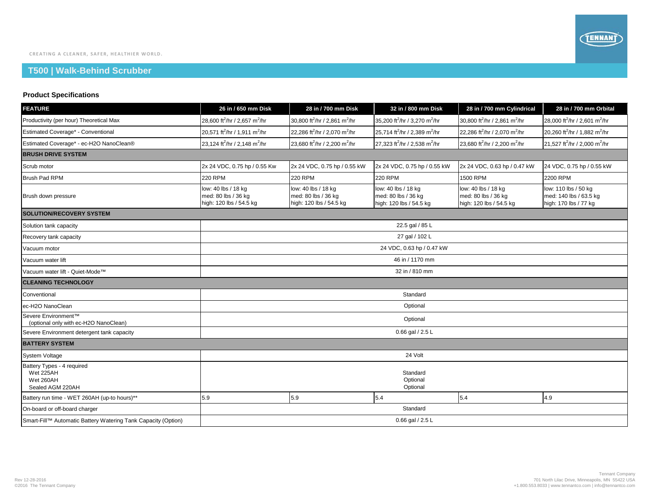## **T500 | Walk-Behind Scrubber**

## **Product Specifications**

| <b>FEATURE</b>                                                           | 26 in / 650 mm Disk                                                   | 28 in / 700 mm Disk                                                   | 32 in / 800 mm Disk                                                   | 28 in / 700 mm Cylindrical                                            | 28 in / 700 mm Orbital                                                  |  |  |  |
|--------------------------------------------------------------------------|-----------------------------------------------------------------------|-----------------------------------------------------------------------|-----------------------------------------------------------------------|-----------------------------------------------------------------------|-------------------------------------------------------------------------|--|--|--|
| Productivity (per hour) Theoretical Max                                  | 28,600 ft <sup>2</sup> /hr / 2,657 m <sup>2</sup> /hr                 | 30,800 ft <sup>2</sup> /hr / 2,861 m <sup>2</sup> /hr                 | 35,200 ft <sup>2</sup> /hr / 3,270 m <sup>2</sup> /hr                 | 30.800 ft <sup>2</sup> /hr / 2.861 m <sup>2</sup> /hr                 | 28,000 ft <sup>2</sup> /hr / 2,601 m <sup>2</sup> /hr                   |  |  |  |
| Estimated Coverage* - Conventional                                       | 20,571 ft <sup>2</sup> /hr / 1,911 m <sup>2</sup> /hr                 | 22,286 ft <sup>2</sup> /hr / 2,070 m <sup>2</sup> /hr                 | 25,714 ft <sup>2</sup> /hr / 2,389 m <sup>2</sup> /hr                 | 22,286 ft <sup>2</sup> /hr / 2,070 m <sup>2</sup> /hr                 | 20,260 ft <sup>2</sup> /hr / 1,882 m <sup>2</sup> /hr                   |  |  |  |
| Estimated Coverage* - ec-H2O NanoClean®                                  | 23,124 ft <sup>2</sup> /hr / 2,148 m <sup>2</sup> /hr                 | 23,680 ft <sup>2</sup> /hr / 2,200 m <sup>2</sup> /hr                 | 27,323 ft <sup>2</sup> /hr / 2,538 m <sup>2</sup> /hr                 | 23,680 ft <sup>2</sup> /hr / 2,200 m <sup>2</sup> /hr                 | 21,527 ft <sup>2</sup> /hr / 2,000 m <sup>2</sup> /hr                   |  |  |  |
| <b>BRUSH DRIVE SYSTEM</b>                                                |                                                                       |                                                                       |                                                                       |                                                                       |                                                                         |  |  |  |
| Scrub motor                                                              | 2x 24 VDC, 0.75 hp / 0.55 Kw                                          | 2x 24 VDC, 0.75 hp / 0.55 kW                                          | 2x 24 VDC, 0.75 hp / 0.55 kW                                          | 2x 24 VDC, 0.63 hp / 0.47 kW                                          | 24 VDC, 0.75 hp / 0.55 kW                                               |  |  |  |
| <b>Brush Pad RPM</b>                                                     | <b>220 RPM</b>                                                        | <b>220 RPM</b>                                                        | <b>220 RPM</b>                                                        | 1500 RPM                                                              | 2200 RPM                                                                |  |  |  |
| Brush down pressure                                                      | low: 40 lbs / 18 kg<br>med: 80 lbs / 36 kg<br>high: 120 lbs / 54.5 kg | low: 40 lbs / 18 kg<br>med: 80 lbs / 36 kg<br>high: 120 lbs / 54.5 kg | low: 40 lbs / 18 kg<br>med: 80 lbs / 36 kg<br>high: 120 lbs / 54.5 kg | low: 40 lbs / 18 kg<br>med: 80 lbs / 36 kg<br>high: 120 lbs / 54.5 kg | low: 110 lbs / 50 kg<br>med: 140 lbs / 63.5 kg<br>high: 170 lbs / 77 kg |  |  |  |
| <b>SOLUTION/RECOVERY SYSTEM</b>                                          |                                                                       |                                                                       |                                                                       |                                                                       |                                                                         |  |  |  |
| Solution tank capacity                                                   | 22.5 gal / 85 L                                                       |                                                                       |                                                                       |                                                                       |                                                                         |  |  |  |
| Recovery tank capacity                                                   | 27 gal / 102 L                                                        |                                                                       |                                                                       |                                                                       |                                                                         |  |  |  |
| Vacuum motor                                                             | 24 VDC, 0.63 hp / 0.47 kW                                             |                                                                       |                                                                       |                                                                       |                                                                         |  |  |  |
| Vacuum water lift                                                        | 46 in / 1170 mm                                                       |                                                                       |                                                                       |                                                                       |                                                                         |  |  |  |
| Vacuum water lift - Quiet-Mode™                                          | 32 in / 810 mm                                                        |                                                                       |                                                                       |                                                                       |                                                                         |  |  |  |
| <b>CLEANING TECHNOLOGY</b>                                               |                                                                       |                                                                       |                                                                       |                                                                       |                                                                         |  |  |  |
| Conventional                                                             | Standard                                                              |                                                                       |                                                                       |                                                                       |                                                                         |  |  |  |
| ec-H2O NanoClean                                                         | Optional                                                              |                                                                       |                                                                       |                                                                       |                                                                         |  |  |  |
| Severe Environment™<br>(optional only with ec-H2O NanoClean)             | Optional                                                              |                                                                       |                                                                       |                                                                       |                                                                         |  |  |  |
| Severe Environment detergent tank capacity                               | 0.66 gal / 2.5 L                                                      |                                                                       |                                                                       |                                                                       |                                                                         |  |  |  |
| <b>BATTERY SYSTEM</b>                                                    |                                                                       |                                                                       |                                                                       |                                                                       |                                                                         |  |  |  |
| <b>System Voltage</b>                                                    | 24 Volt                                                               |                                                                       |                                                                       |                                                                       |                                                                         |  |  |  |
| Battery Types - 4 required<br>Wet 225AH<br>Wet 260AH<br>Sealed AGM 220AH | Standard<br>Optional<br>Optional                                      |                                                                       |                                                                       |                                                                       |                                                                         |  |  |  |
| Battery run time - WET 260AH (up-to hours)**                             | 5.9                                                                   | 5.9                                                                   | 5.4                                                                   | 5.4                                                                   | 4.9                                                                     |  |  |  |
| On-board or off-board charger                                            | Standard                                                              |                                                                       |                                                                       |                                                                       |                                                                         |  |  |  |
| Smart-Fill™ Automatic Battery Watering Tank Capacity (Option)            | 0.66 gal $/$ 2.5 L                                                    |                                                                       |                                                                       |                                                                       |                                                                         |  |  |  |